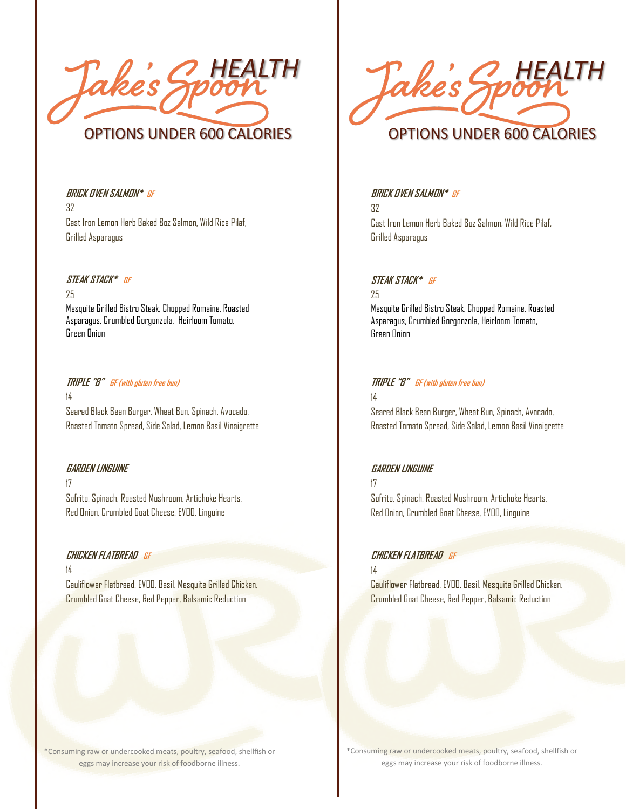*HEALTH* OPTIONS UNDER 600 CALORIES

**BRICK OVEN SALMON\* GF** 32 Cast Iron Lemon Herb Baked 8oz Salmon, Wild Rice Pilaf, Grilled Asparagus

#### **STEAK STACK\* GF**

25 Mesquite Grilled Bistro Steak, Chopped Romaine, Roasted Asparagus, Crumbled Gorgonzola, Heirloom Tomato, Green Onion

#### **TRIPLE "B" GF (with gluten free bun)** 14 Seared Black Bean Burger, Wheat Bun, Spinach, Avocado,

Roasted Tomato Spread, Side Salad, Lemon Basil Vinaigrette

#### **GARDEN LINGUINE**

17 Sofrito, Spinach, Roasted Mushroom, Artichoke Hearts, Red Onion, Crumbled Goat Cheese, EVOO, Linguine

#### **CHICKEN FLATBREAD GF**

14 Cauliflower Flatbread, EVOO, Basil, Mesquite Grilled Chicken, Crumbled Goat Cheese, Red Pepper, Balsamic Reduction



#### **BRICK OVEN SALMON\* GF**

32 Cast Iron Lemon Herb Baked 8oz Salmon, Wild Rice Pilaf, Grilled Asparagus

#### **STEAK STACK\* GF**

25

Mesquite Grilled Bistro Steak, Chopped Romaine, Roasted Asparagus, Crumbled Gorgonzola, Heirloom Tomato, Green Onion

#### **TRIPLE "B" GF (with gluten free bun)**

14

Seared Black Bean Burger, Wheat Bun, Spinach, Avocado, Roasted Tomato Spread, Side Salad, Lemon Basil Vinaigrette

#### **GARDEN LINGUINE**

17

Sofrito, Spinach, Roasted Mushroom, Artichoke Hearts, Red Onion, Crumbled Goat Cheese, EVOO, Linguine

#### **CHICKEN FLATBREAD GF**

14

Cauliflower Flatbread, EVOO, Basil, Mesquite Grilled Chicken, Crumbled Goat Cheese, Red Pepper, Balsamic Reduction

\*Consuming raw or undercooked meats, poultry, seafood, shellfish or eggs may increase your risk of foodborne illness.

\*Consuming raw or undercooked meats, poultry, seafood, shellfish or eggs may increase your risk of foodborne illness.